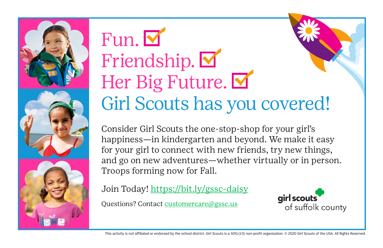





## Fun. Friendship. M Her Big Future. Girl Scouts has you covered!

Consider Girl Scouts the one-stop-shop for your girl's happiness—in kindergarten and beyond. We make it easy for your girl to connect with new friends, try new things, and go on new adventures—whether virtually or in person. Troops forming now for Fall.

Join Today! <https://bit.ly/gssc-daisy>

Questions? Contact [customercare@gssc.us](mailto:customercare%40gssc.us?subject=)

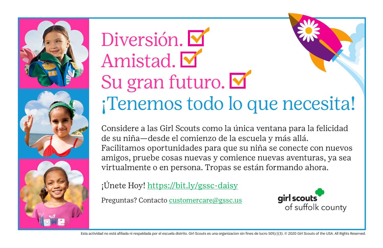

## Diversión. Amistad. Su gran futuro. ¡Tenemos todo lo que necesita!

Considere a las Girl Scouts como la única ventana para la felicidad de su niña—desde el comienzo de la escuela y más allá. Facilitamos oportunidades para que su niña se conecte con nuevos amigos, pruebe cosas nuevas y comience nuevas aventuras, ya sea virtualmente o en persona. Tropas se están formando ahora.

¡Únete Hoy! <https://bit.ly/gssc-daisy>

Preguntas? Contacto [customercare@gssc.us](mailto:customercare%40gssc.us?subject=)